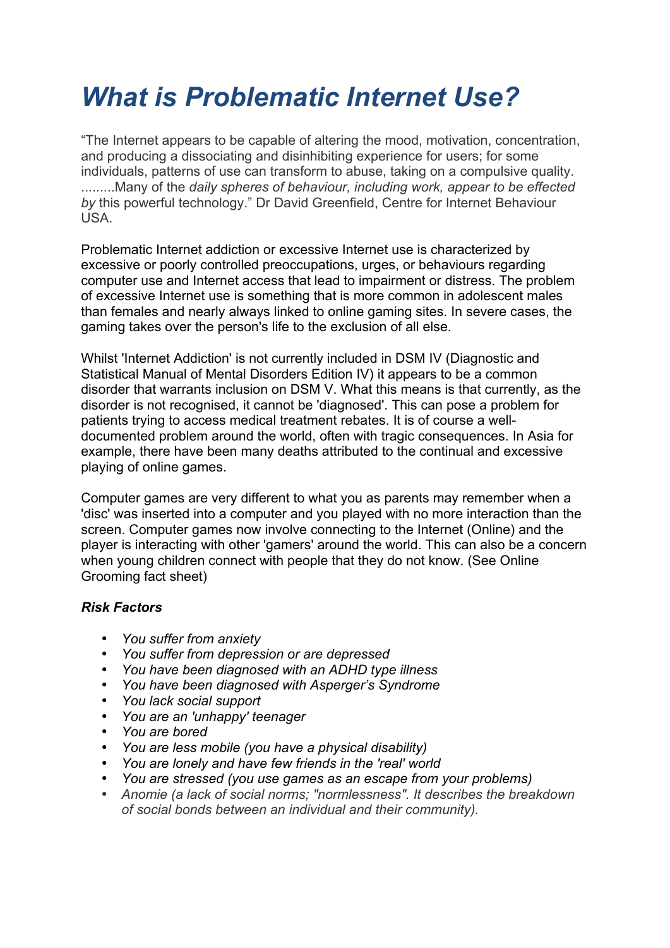# *What is Problematic Internet Use?*

"The Internet appears to be capable of altering the mood, motivation, concentration, and producing a dissociating and disinhibiting experience for users; for some individuals, patterns of use can transform to abuse, taking on a compulsive quality. .........Many of the *daily spheres of behaviour, including work, appear to be effected by* this powerful technology." Dr David Greenfield, Centre for Internet Behaviour USA.

Problematic Internet addiction or excessive Internet use is characterized by excessive or poorly controlled preoccupations, urges, or behaviours regarding computer use and Internet access that lead to impairment or distress. The problem of excessive Internet use is something that is more common in adolescent males than females and nearly always linked to online gaming sites. In severe cases, the gaming takes over the person's life to the exclusion of all else.

Whilst 'Internet Addiction' is not currently included in DSM IV (Diagnostic and Statistical Manual of Mental Disorders Edition IV) it appears to be a common disorder that warrants inclusion on DSM V. What this means is that currently, as the disorder is not recognised, it cannot be 'diagnosed'. This can pose a problem for patients trying to access medical treatment rebates. It is of course a welldocumented problem around the world, often with tragic consequences. In Asia for example, there have been many deaths attributed to the continual and excessive playing of online games.

Computer games are very different to what you as parents may remember when a 'disc' was inserted into a computer and you played with no more interaction than the screen. Computer games now involve connecting to the Internet (Online) and the player is interacting with other 'gamers' around the world. This can also be a concern when young children connect with people that they do not know. (See Online Grooming fact sheet)

# *Risk Factors*

- *You suffer from anxiety*
- *You suffer from depression or are depressed*
- *You have been diagnosed with an ADHD type illness*
- *You have been diagnosed with Asperger's Syndrome*
- *You lack social support*
- *You are an 'unhappy' teenager*
- *You are bored*
- *You are less mobile (you have a physical disability)*
- *You are lonely and have few friends in the 'real' world*
- *You are stressed (you use games as an escape from your problems)*
- *Anomie (a lack of social norms; "normlessness". It describes the breakdown of social bonds between an individual and their community).*